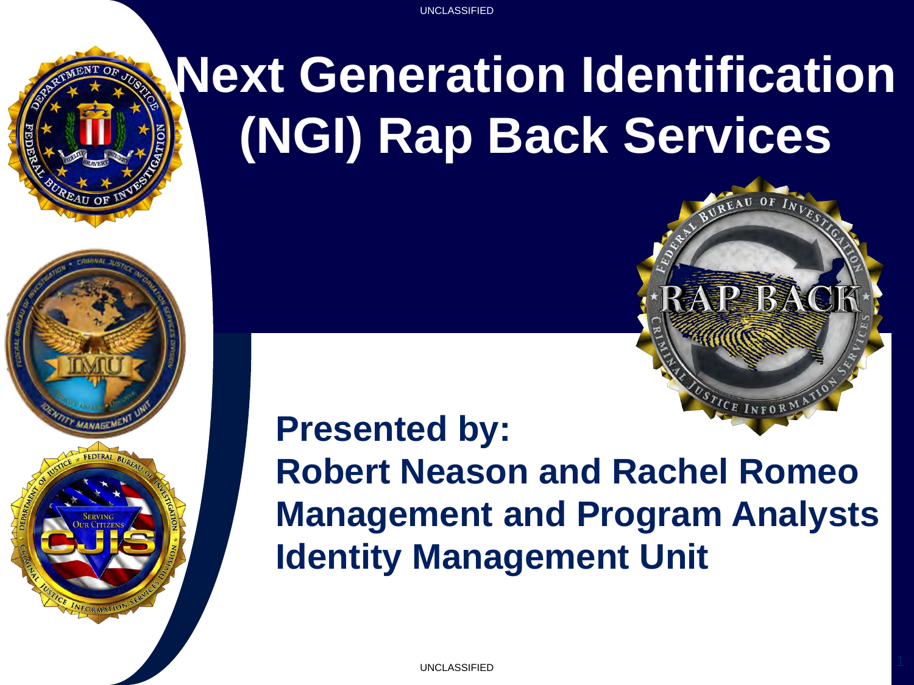UNCLASSIFIED UNCLASSIFIED



### **Next Generation Identification (NGI) Rap Back Services**



#### **Presented by: Robert Neason and Rachel Romeo Management and Program Analysts Identity Management Unit**

UNCLASSIFIED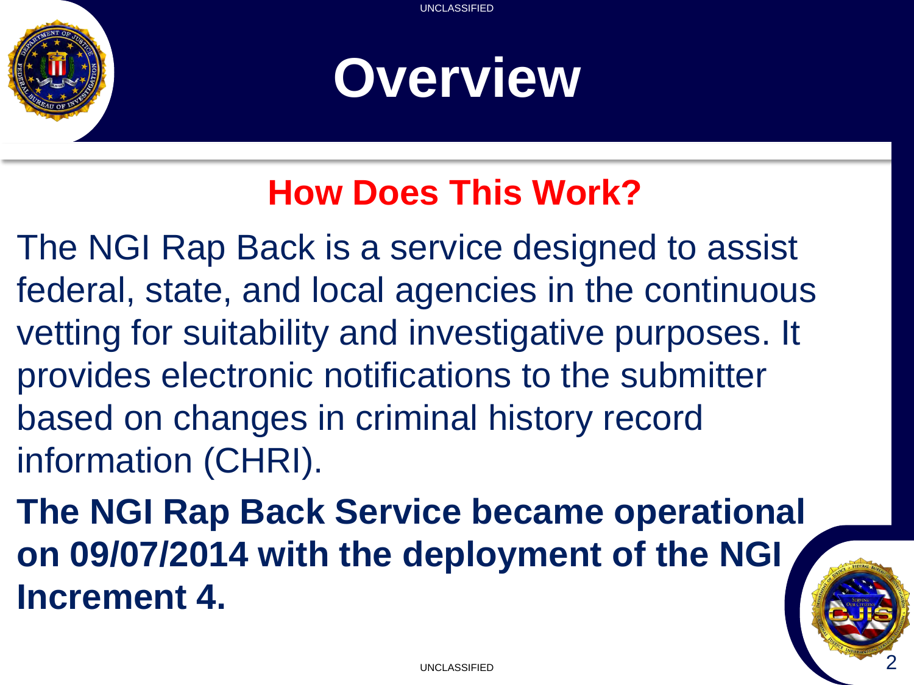

### **Overview**

#### **How Does This Work?**

The NGI Rap Back is a service designed to assist federal, state, and local agencies in the continuous vetting for suitability and investigative purposes. It provides electronic notifications to the submitter based on changes in criminal history record information (CHRI).

**The NGI Rap Back Service became operational on 09/07/2014 with the deployment of the NGI Increment 4.**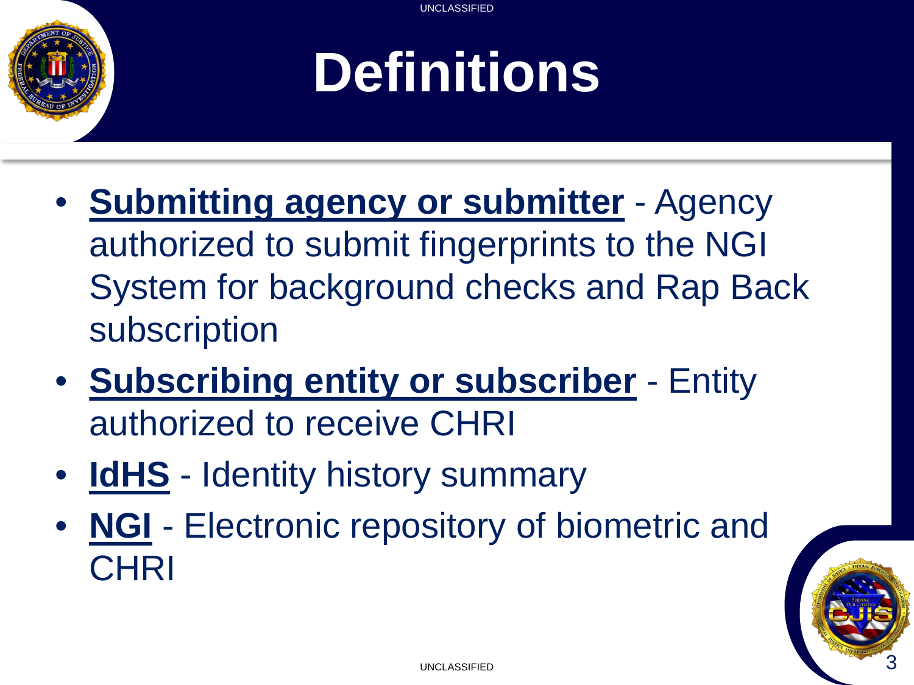## **Definitions**

- **Submitting agency or submitter** Agency authorized to submit fingerprints to the NGI System for background checks and Rap Back subscription
- **Subscribing entity or subscriber** Entity authorized to receive CHRI
- **IdHS** Identity history summary
- **NGI** Electronic repository of biometric and **CHRI**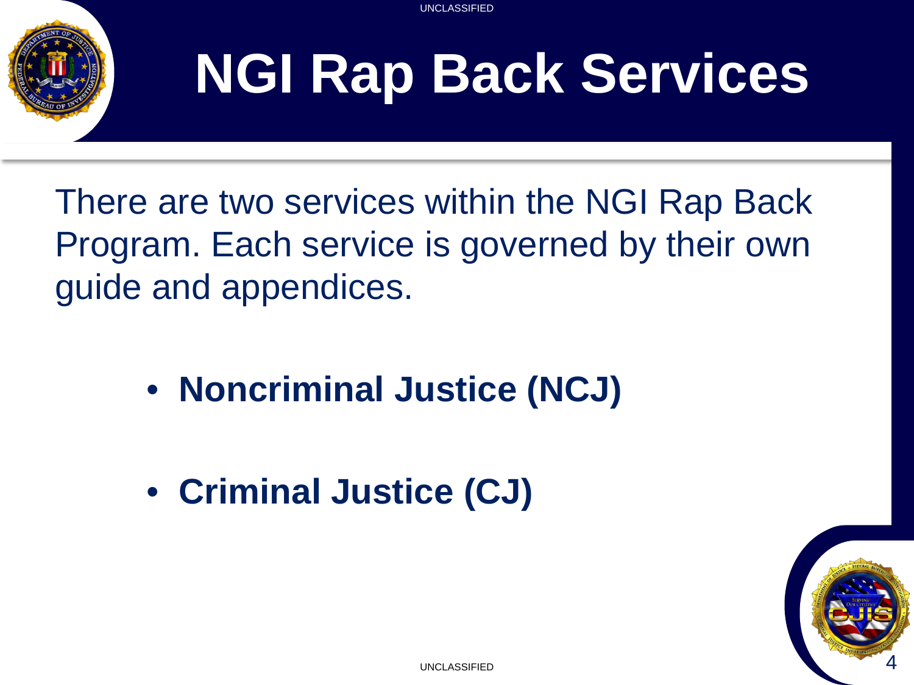

# **NGI Rap Back Services**

There are two services within the NGI Rap Back Program. Each service is governed by their own guide and appendices.

- **Noncriminal Justice (NCJ)**
- **Criminal Justice (CJ)**

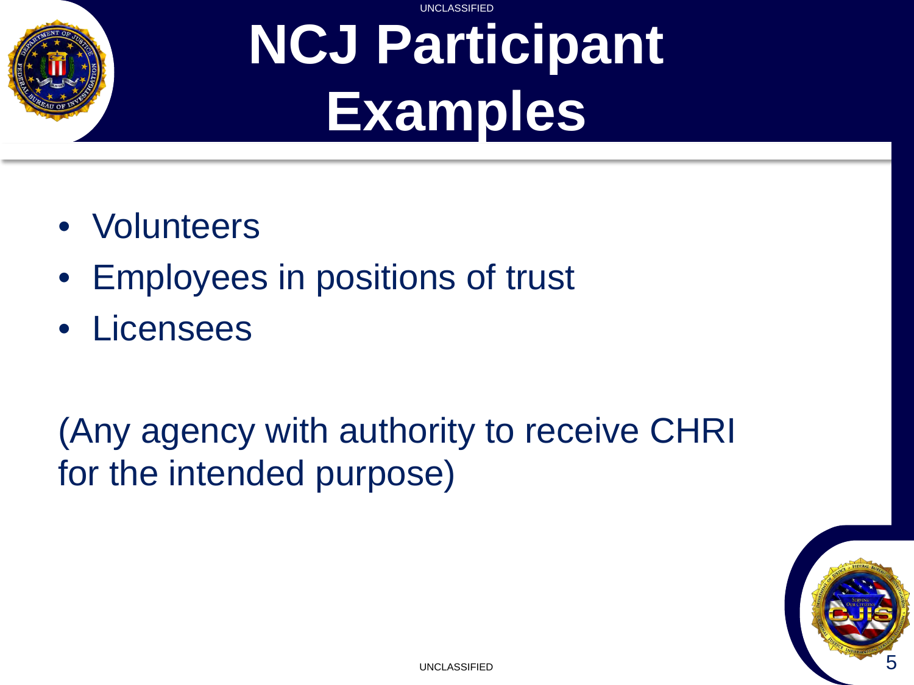

#### UNCLASSIFIED **NCJ Participant Examples**

- Volunteers
- Employees in positions of trust
- Licensees

#### (Any agency with authority to receive CHRI for the intended purpose)

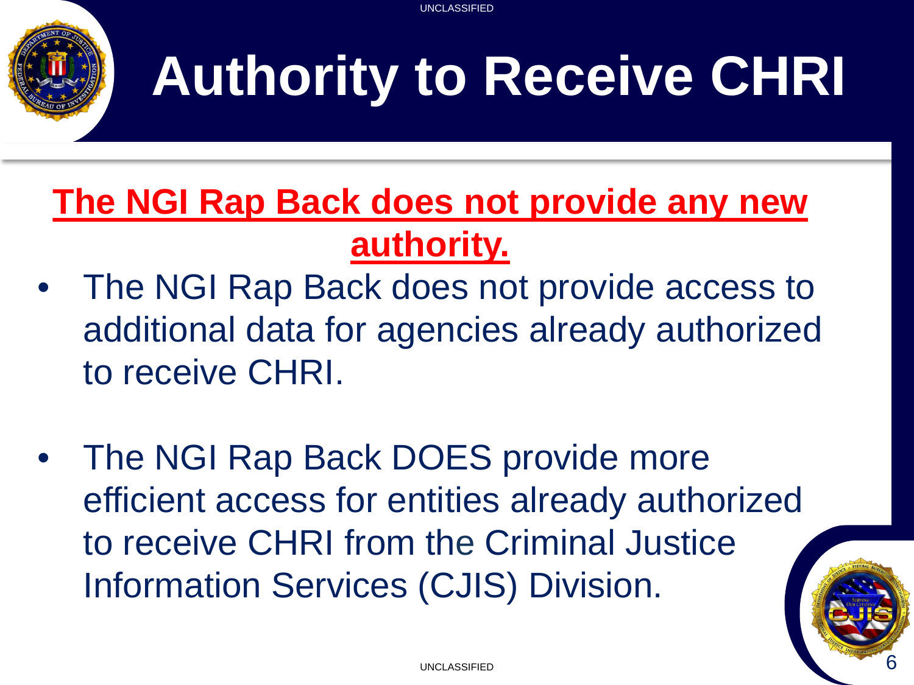

# **Authority to Receive CHRI**

#### **The NGI Rap Back does not provide any new authority.**

- The NGI Rap Back does not provide access to additional data for agencies already authorized to receive CHRI.
- The NGI Rap Back DOES provide more efficient access for entities already authorized to receive CHRI from the Criminal Justice Information Services (CJIS) Division.

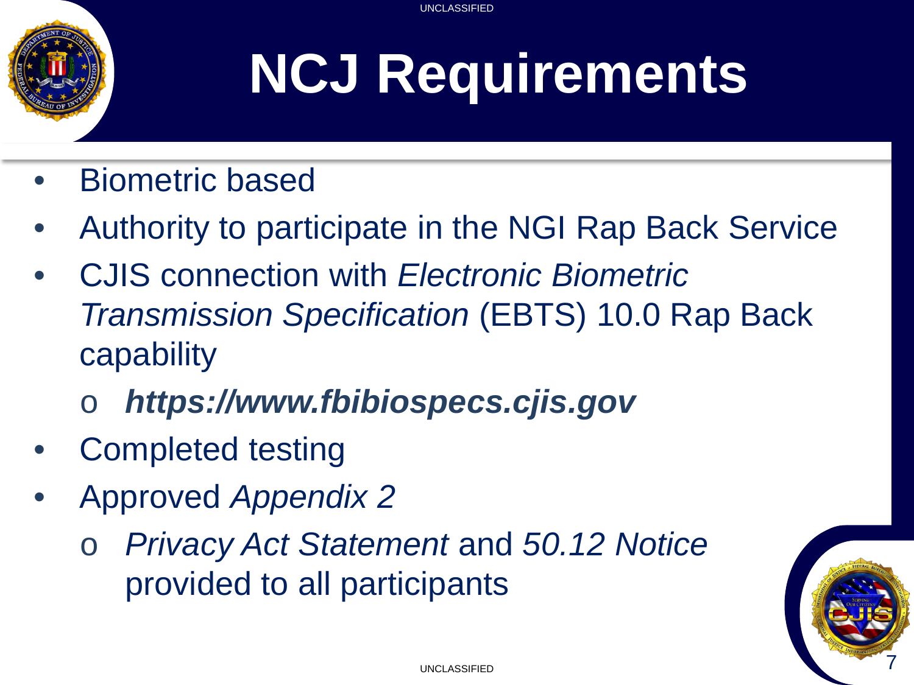# **NCJ Requirements**

- Biometric based
- Authority to participate in the NGI Rap Back Service
- CJIS connection with *Electronic Biometric Transmission Specification* (EBTS) 10.0 Rap Back capability
	- o *https://www.fbibiospecs.cjis.gov*
- Completed testing
- Approved *Appendix 2*
	- o *Privacy Act Statement* and *50.12 Notice*  provided to all participants

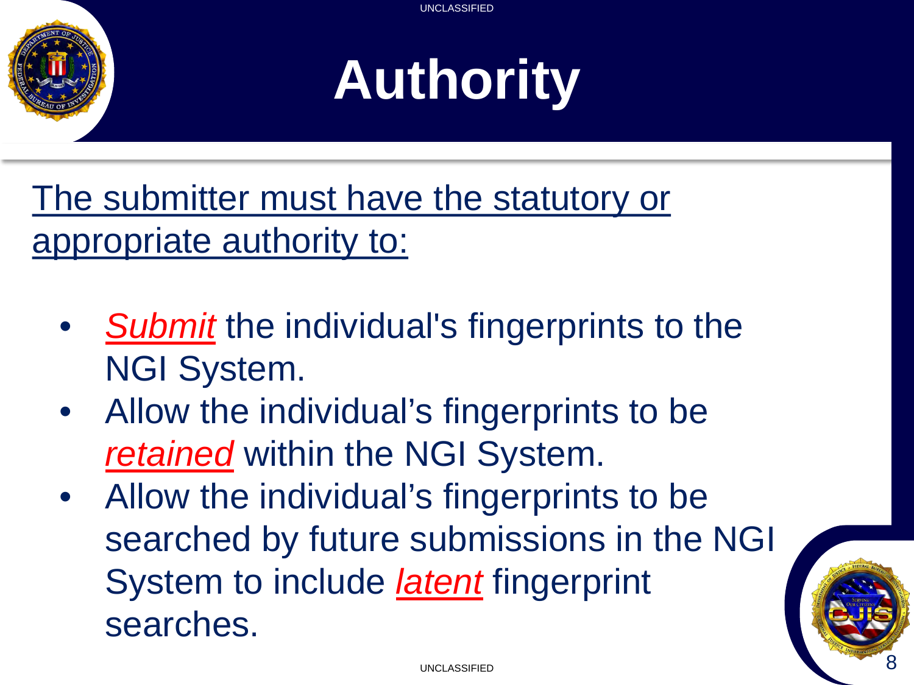

# **Authority**

The submitter must have the statutory or appropriate authority to:

- *Submit* the individual's fingerprints to the NGI System.
- Allow the individual's fingerprints to be *retained* within the NGI System.
- Allow the individual's fingerprints to be searched by future submissions in the NGI System to include *latent* fingerprint searches.

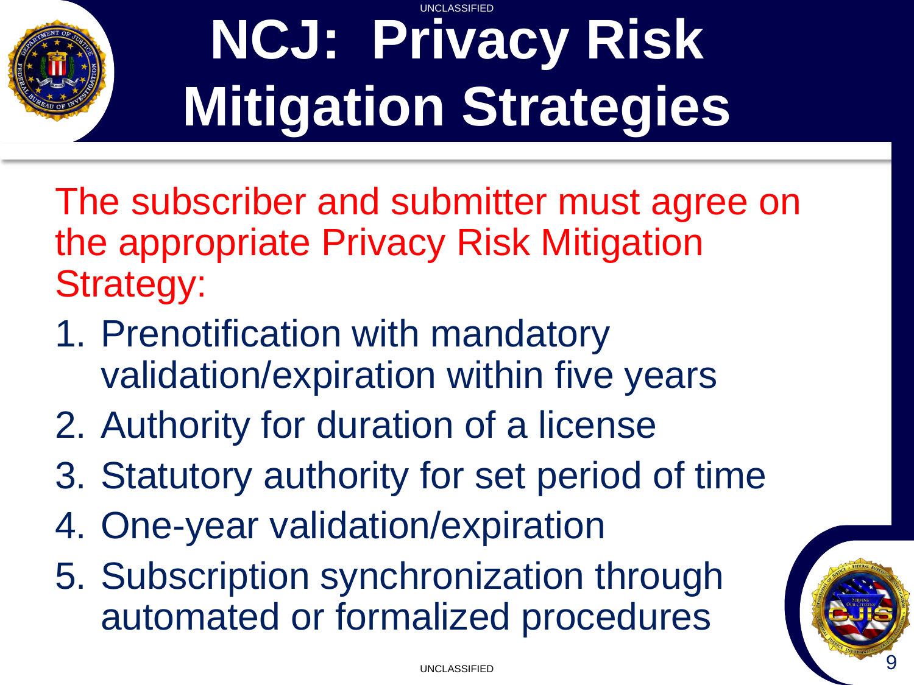

#### UNCLASSIFIED **NCJ: Privacy Risk Mitigation Strategies**

The subscriber and submitter must agree on the appropriate Privacy Risk Mitigation Strategy:

- 1. Prenotification with mandatory validation/expiration within five years
- 2. Authority for duration of a license
- 3. Statutory authority for set period of time
- 4. One-year validation/expiration
- 5. Subscription synchronization through automated or formalized procedures

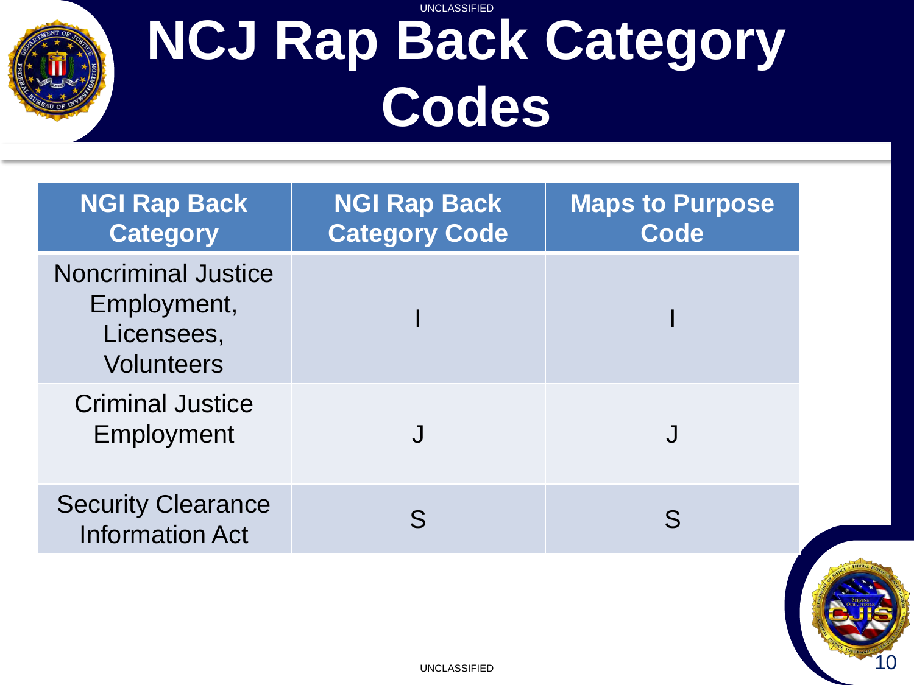

#### UNCLASSIFIED **NCJ Rap Back Category Codes**

| <b>NGI Rap Back</b><br><b>Category</b>                                       | <b>NGI Rap Back</b><br><b>Category Code</b> | <b>Maps to Purpose</b><br>Code |
|------------------------------------------------------------------------------|---------------------------------------------|--------------------------------|
| <b>Noncriminal Justice</b><br>Employment,<br>Licensees,<br><b>Volunteers</b> |                                             |                                |
| <b>Criminal Justice</b><br>Employment                                        |                                             |                                |
| <b>Security Clearance</b><br><b>Information Act</b>                          |                                             |                                |

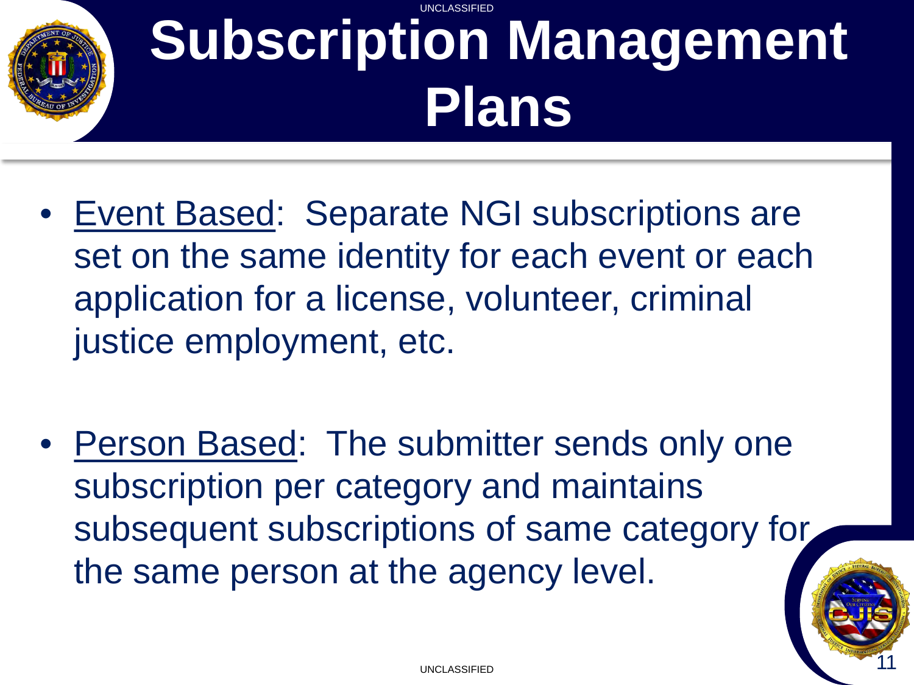#### UNCLASSIFIED **Subscription Management Plans**

- Event Based: Separate NGI subscriptions are set on the same identity for each event or each application for a license, volunteer, criminal justice employment, etc.
- Person Based: The submitter sends only one subscription per category and maintains subsequent subscriptions of same category for the same person at the agency level.

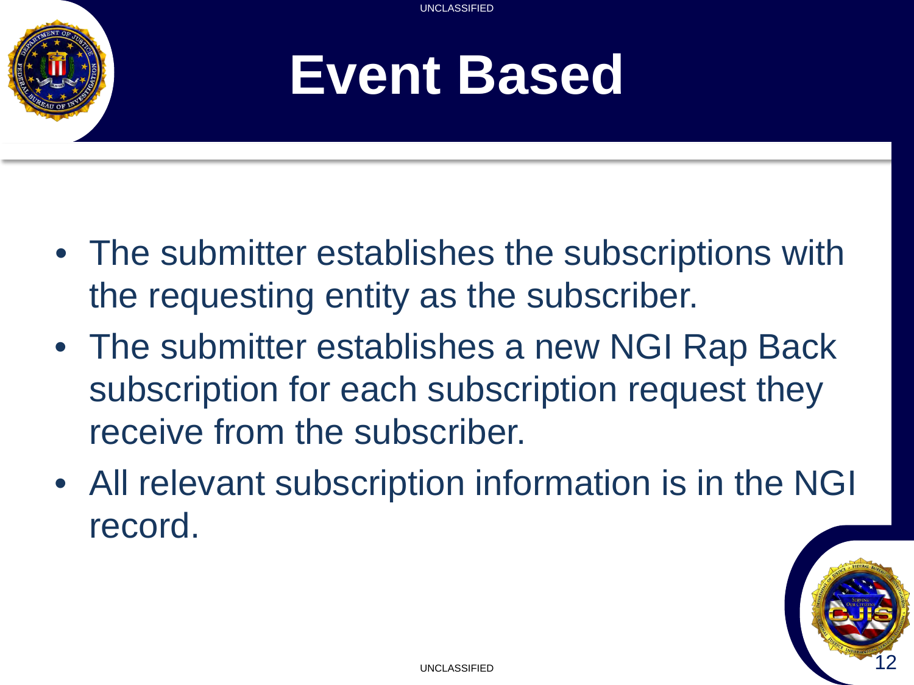

### **Event Based**

- The submitter establishes the subscriptions with the requesting entity as the subscriber.
- The submitter establishes a new NGI Rap Back subscription for each subscription request they receive from the subscriber.
- All relevant subscription information is in the NGI record.

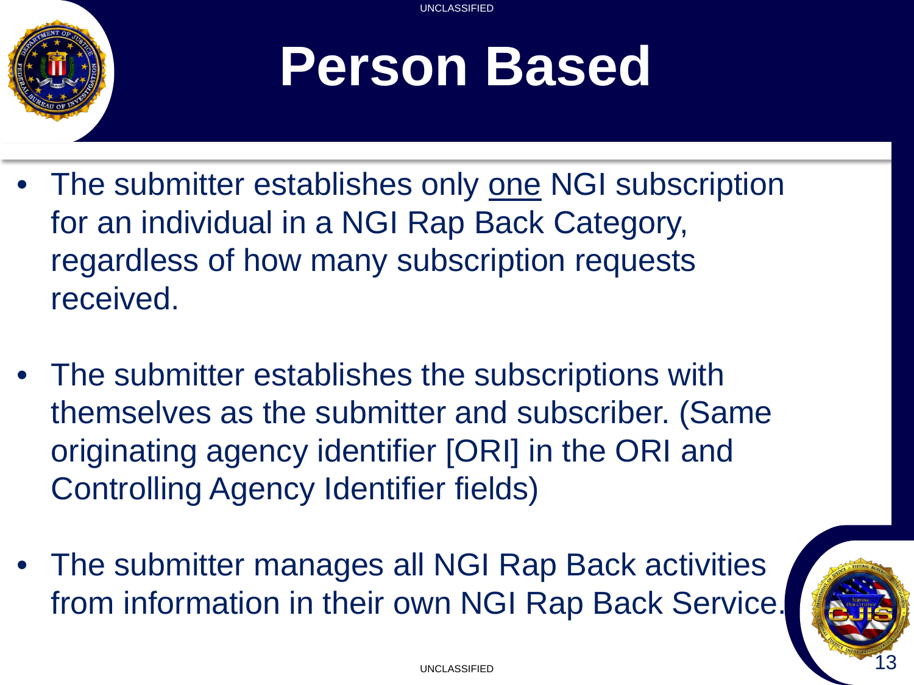

# **Person Based**

- The submitter establishes only one NGI subscription for an individual in a NGI Rap Back Category, regardless of how many subscription requests received.
- The submitter establishes the subscriptions with themselves as the submitter and subscriber. (Same originating agency identifier [ORI] in the ORI and Controlling Agency Identifier fields)
- The submitter manages all NGI Rap Back activities from information in their own NGI Rap Back Service.

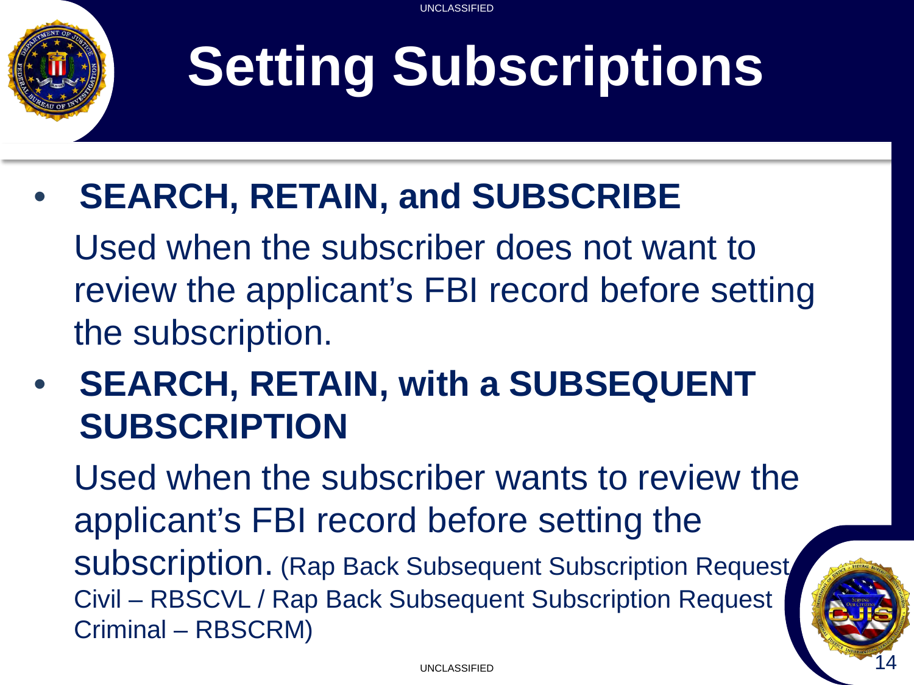# **Setting Subscriptions**

• **SEARCH, RETAIN, and SUBSCRIBE**

Used when the subscriber does not want to review the applicant's FBI record before setting the subscription.

• **SEARCH, RETAIN, with a SUBSEQUENT SUBSCRIPTION**

Used when the subscriber wants to review the applicant's FBI record before setting the subscription. (Rap Back Subsequent Subscription Request Civil – RBSCVL / Rap Back Subsequent Subscription Request Criminal – RBSCRM)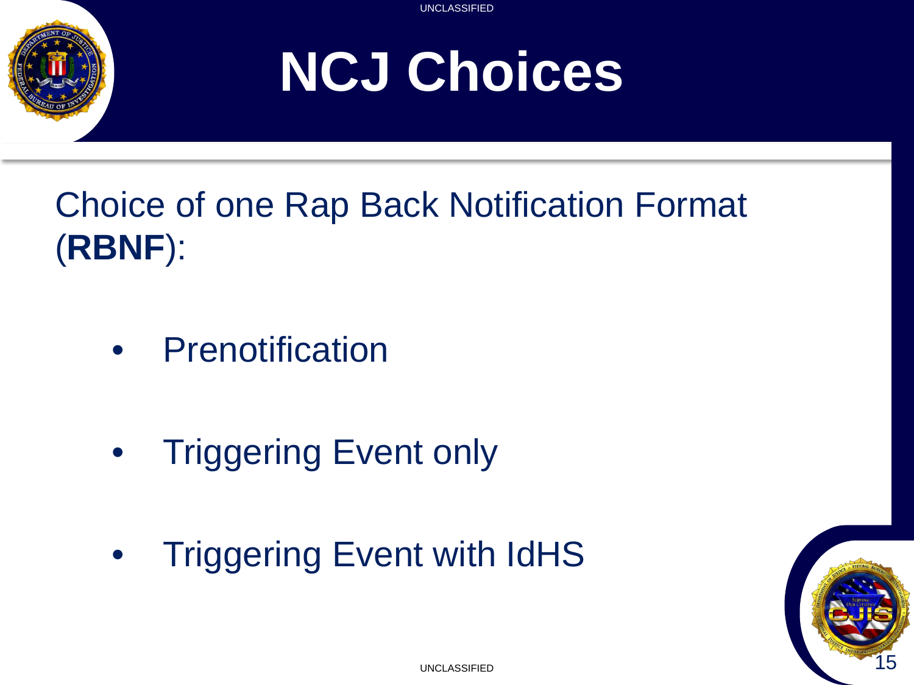

# **NCJ Choices**

#### Choice of one Rap Back Notification Format (**RBNF**):

- Prenotification
- **Triggering Event only**
- Triggering Event with IdHS

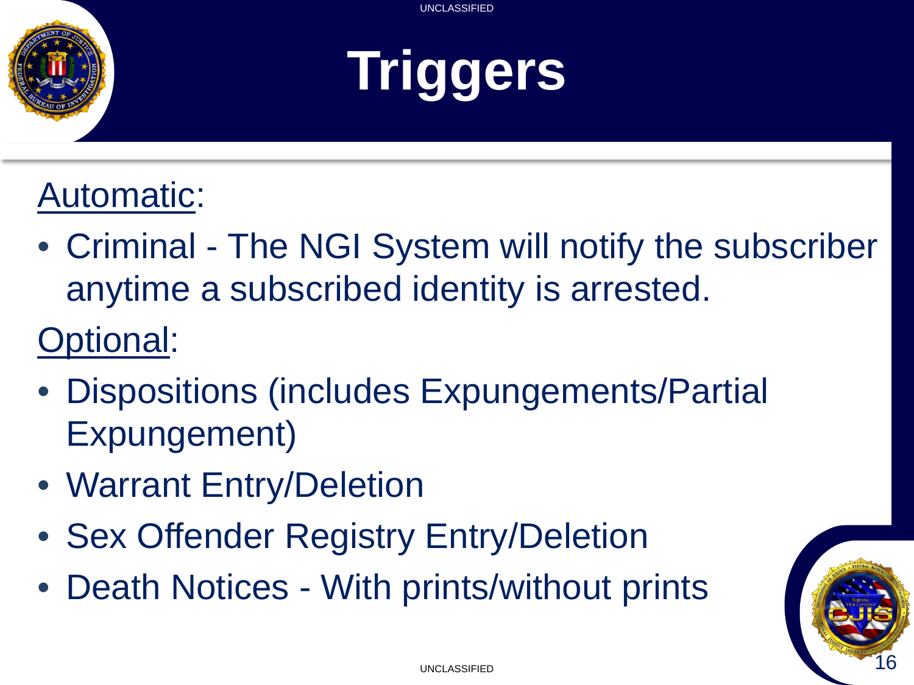

# **Triggers**

#### Automatic:

- Criminal The NGI System will notify the subscriber anytime a subscribed identity is arrested.
- Optional:
- Dispositions (includes Expungements/Partial Expungement)
- Warrant Entry/Deletion
- Sex Offender Registry Entry/Deletion
- Death Notices With prints/without prints

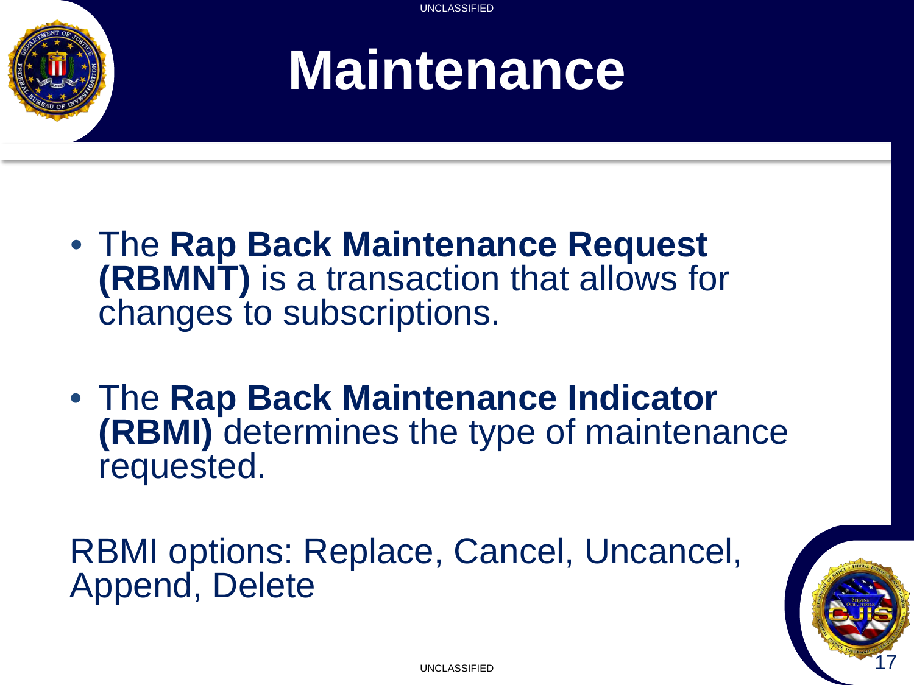

### **Maintenance**

- The **Rap Back Maintenance Request (RBMNT)** is a transaction that allows for changes to subscriptions.
- The **Rap Back Maintenance Indicator (RBMI)** determines the type of maintenance requested.

RBMI options: Replace, Cancel, Uncancel, Append, Delete

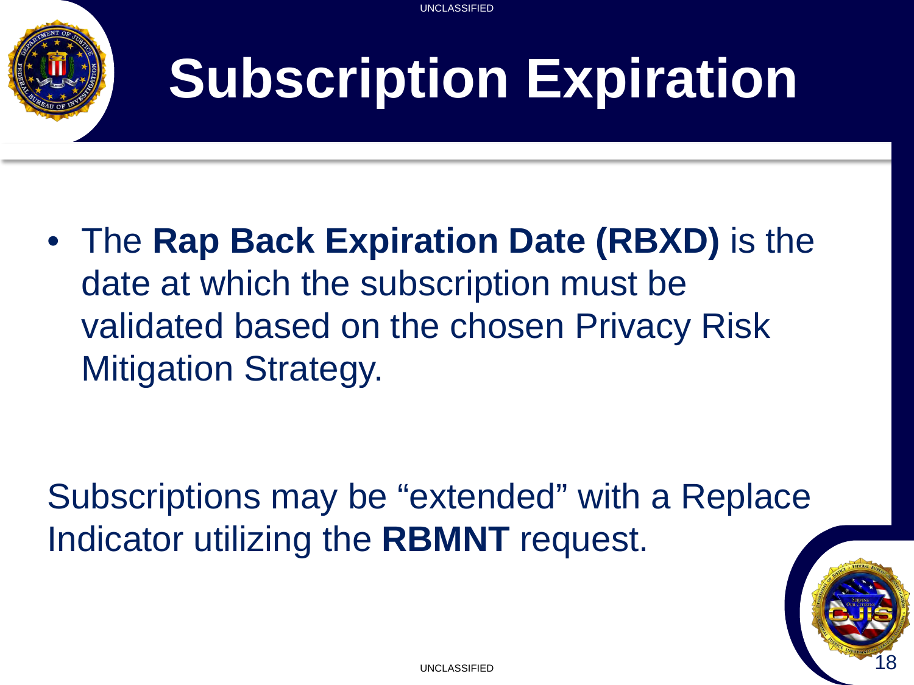

# **Subscription Expiration**

UNCLASSIFIED

• The **Rap Back Expiration Date (RBXD)** is the date at which the subscription must be validated based on the chosen Privacy Risk Mitigation Strategy.

Subscriptions may be "extended" with a Replace Indicator utilizing the **RBMNT** request.

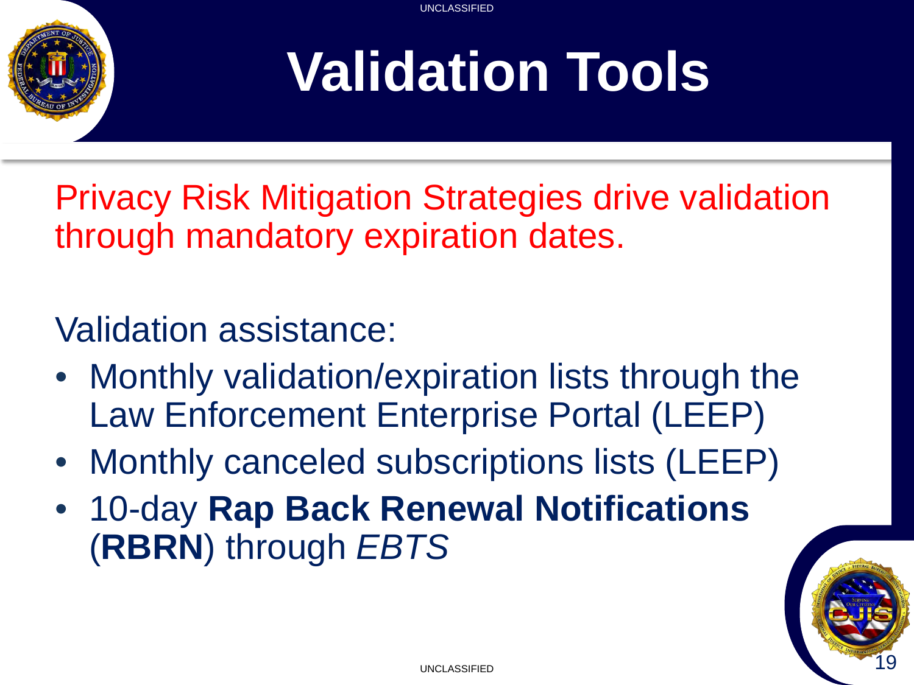

# **Validation Tools**

Privacy Risk Mitigation Strategies drive validation through mandatory expiration dates.

#### Validation assistance:

- Monthly validation/expiration lists through the Law Enforcement Enterprise Portal (LEEP)
- Monthly canceled subscriptions lists (LEEP)
- 10-day **Rap Back Renewal Notifications** (**RBRN**) through *EBTS*

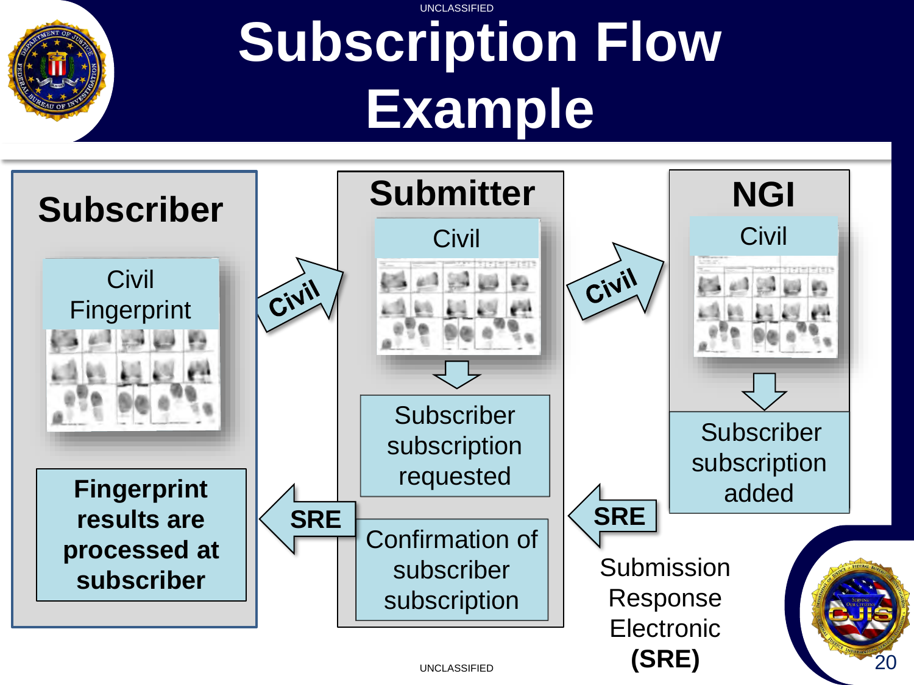

#### UNCLASSIFIED **Subscription Flow Example**

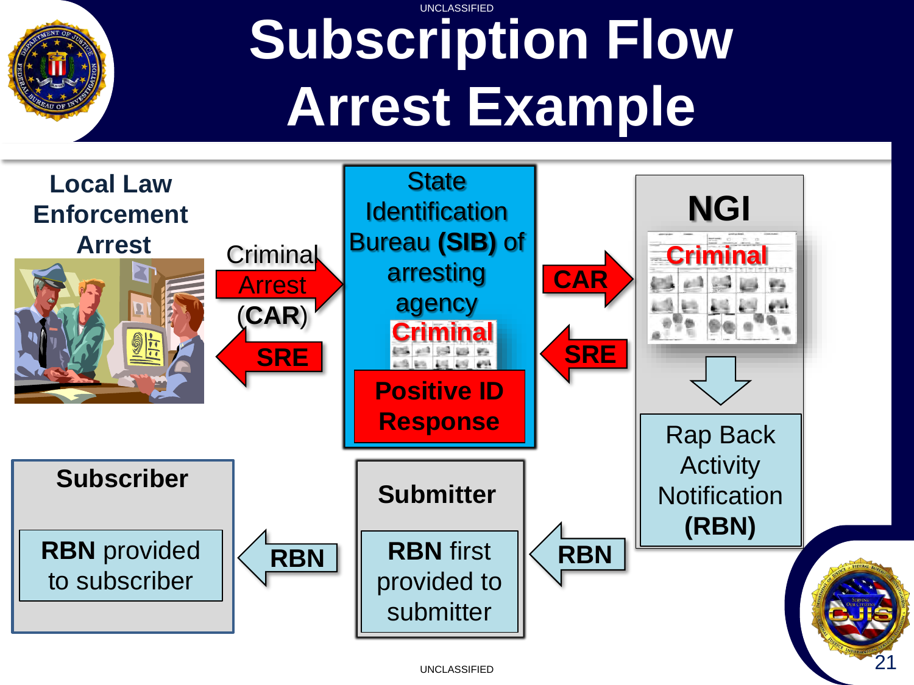

#### UNCLASSIFIED **Subscription Flow Arrest Example**

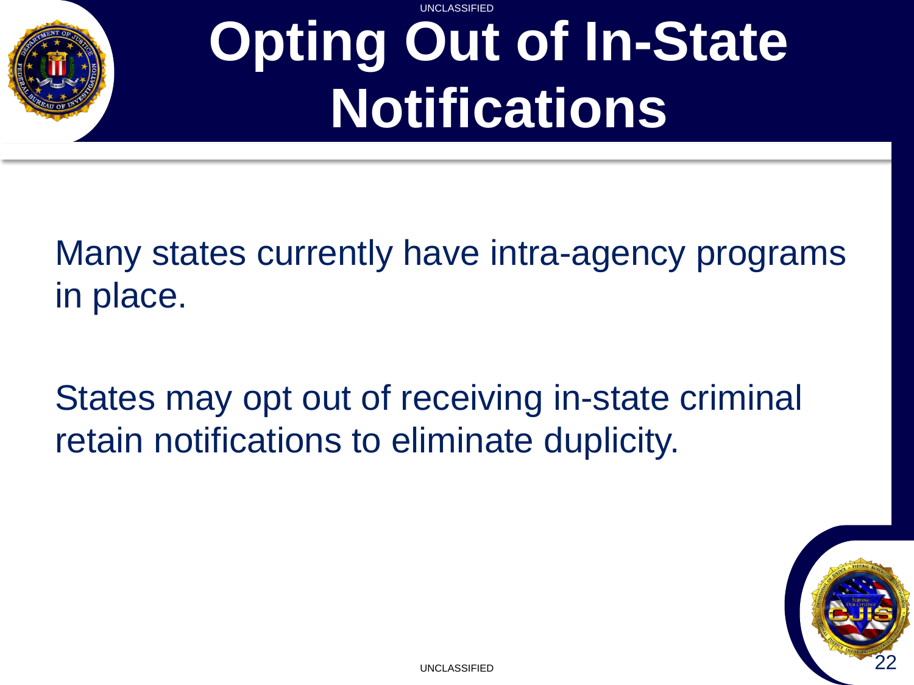

#### **UNCLASSIFIED Opting Out of In-State Notifications**

Many states currently have intra-agency programs in place.

States may opt out of receiving in-state criminal retain notifications to eliminate duplicity.

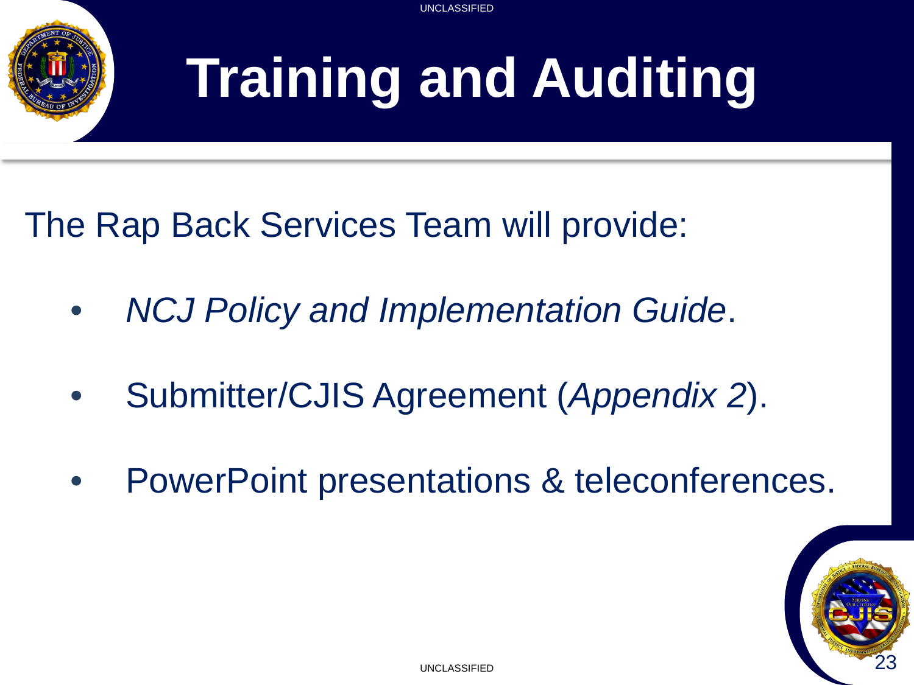

# **Training and Auditing**

The Rap Back Services Team will provide:

- *NCJ Policy and Implementation Guide*.
- Submitter/CJIS Agreement (*Appendix 2*).
- PowerPoint presentations & teleconferences.

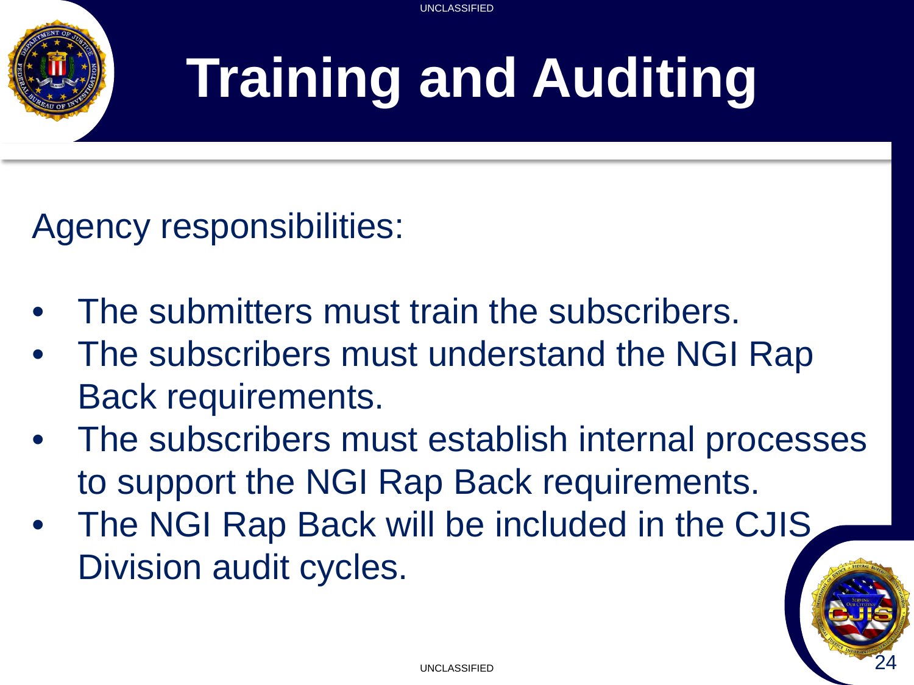

# **Training and Auditing**

Agency responsibilities:

- The submitters must train the subscribers.
- The subscribers must understand the NGI Rap Back requirements.
- The subscribers must establish internal processes to support the NGI Rap Back requirements.
- The NGI Rap Back will be included in the CJIS Division audit cycles.

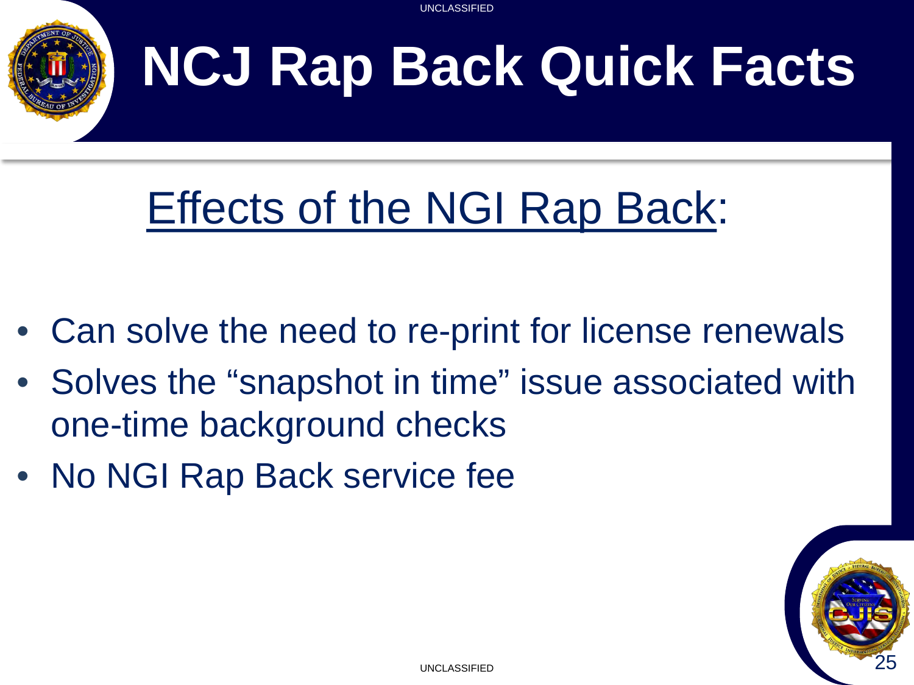

# **NCJ Rap Back Quick Facts**

### Effects of the NGI Rap Back:

- Can solve the need to re-print for license renewals
- Solves the "snapshot in time" issue associated with one-time background checks
- No NGI Rap Back service fee

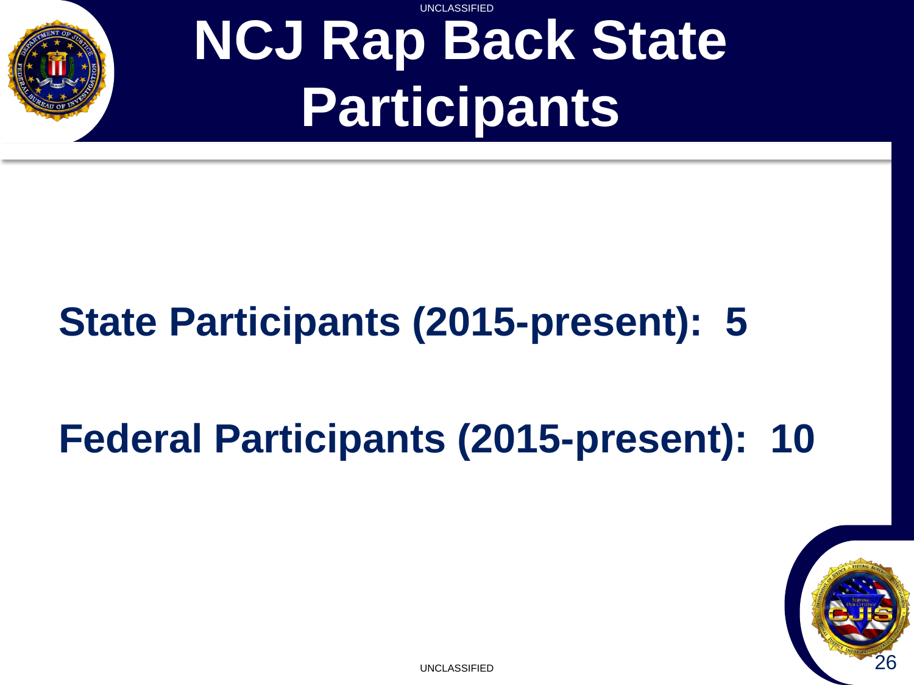

#### UNCLASSIFIED **NCJ Rap Back State Participants**

### **State Participants (2015-present): 5**

### **Federal Participants (2015-present): 10**

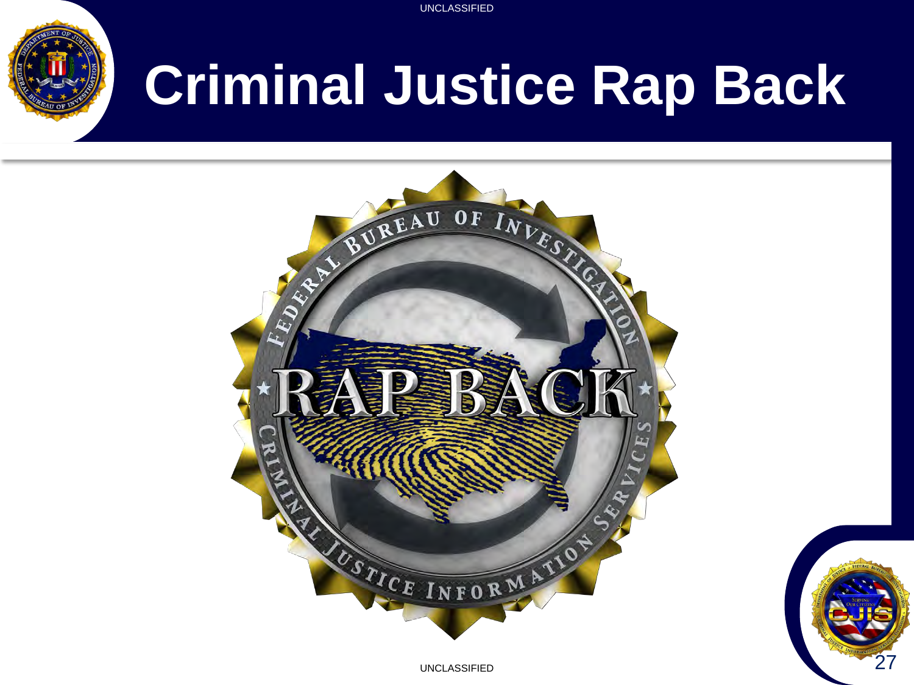

# **Criminal Justice Rap Back**



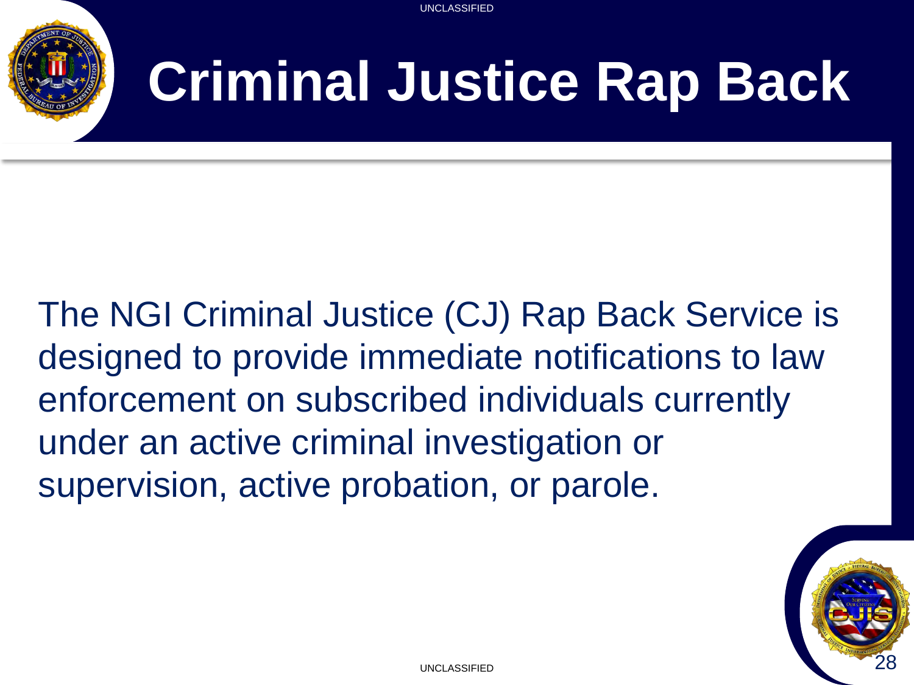

# **Criminal Justice Rap Back**

The NGI Criminal Justice (CJ) Rap Back Service is designed to provide immediate notifications to law enforcement on subscribed individuals currently under an active criminal investigation or supervision, active probation, or parole.

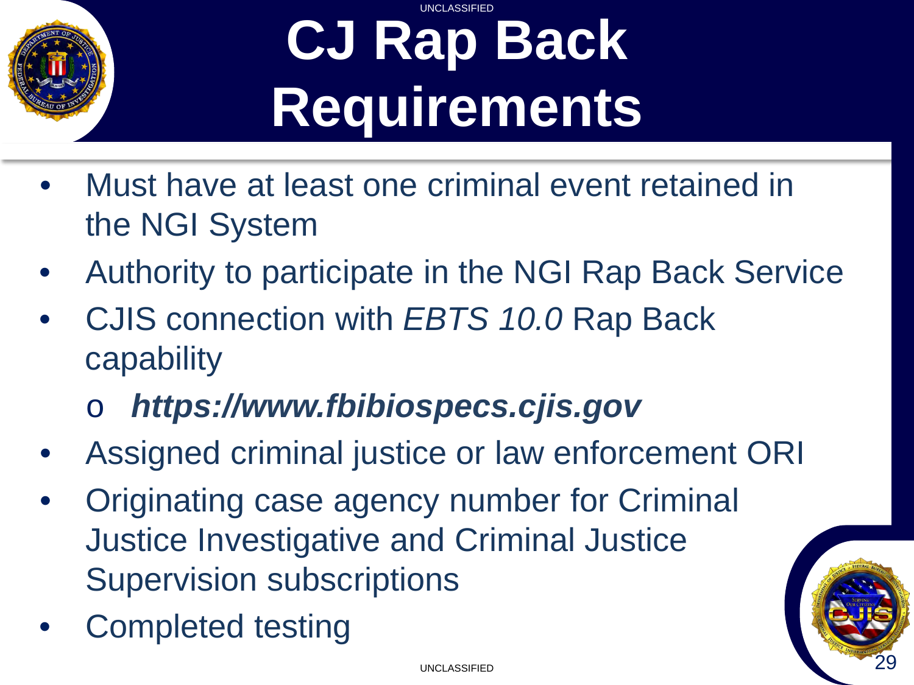

#### UNCLASSIFIED **CJ Rap Back Requirements**

- Must have at least one criminal event retained in the NGI System
- Authority to participate in the NGI Rap Back Service
- CJIS connection with *EBTS 10.0* Rap Back capability
	- o *https://www.fbibiospecs.cjis.gov*
- Assigned criminal justice or law enforcement ORI
- Originating case agency number for Criminal Justice Investigative and Criminal Justice Supervision subscriptions
- Completed testing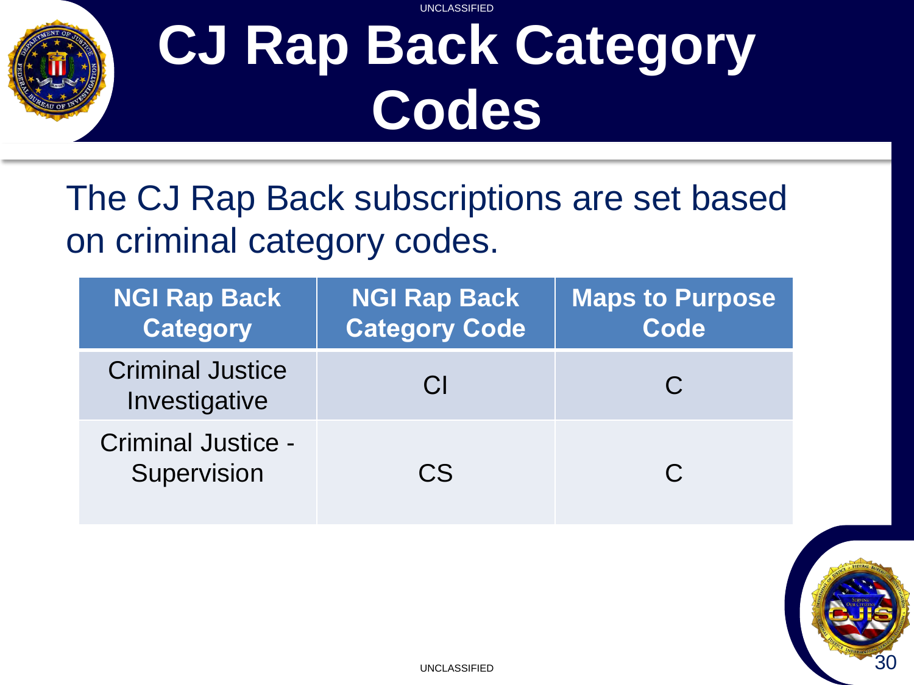

#### UNCLASSIFIED **CJ Rap Back Category Codes**

The CJ Rap Back subscriptions are set based on criminal category codes.

| <b>NGI Rap Back</b><br><b>Category</b>   | <b>NGI Rap Back</b><br><b>Category Code</b> | <b>Maps to Purpose</b><br>Code |
|------------------------------------------|---------------------------------------------|--------------------------------|
| <b>Criminal Justice</b><br>Investigative | <b>CI</b>                                   | $\mathbf C$                    |
| <b>Criminal Justice -</b><br>Supervision | CS                                          |                                |

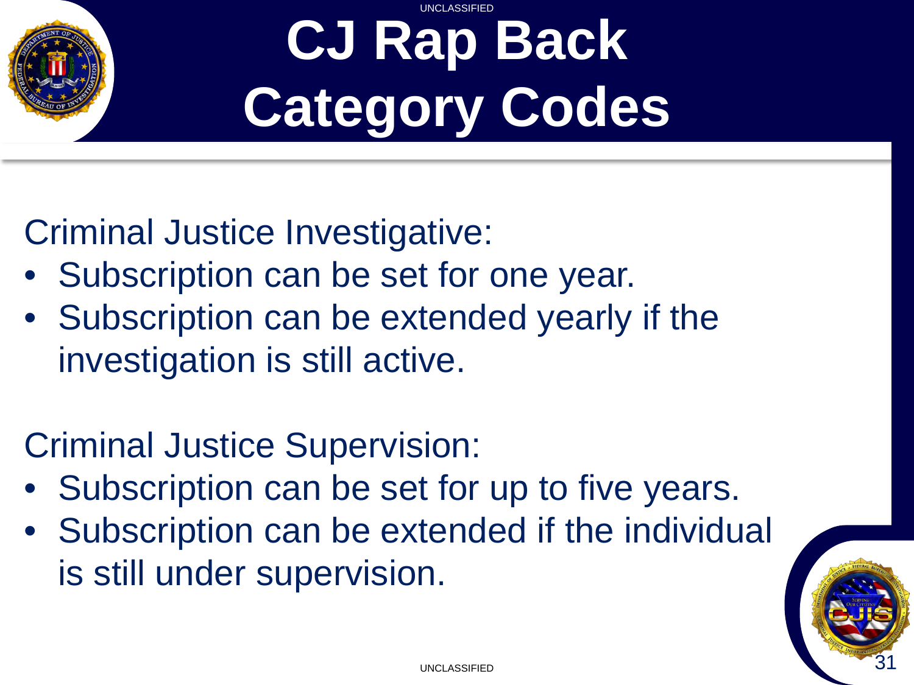

#### UNCLASSIFIED **CJ Rap Back Category Codes**

Criminal Justice Investigative:

- Subscription can be set for one year.
- Subscription can be extended yearly if the investigation is still active.

#### Criminal Justice Supervision:

- Subscription can be set for up to five years.
- Subscription can be extended if the individual is still under supervision.

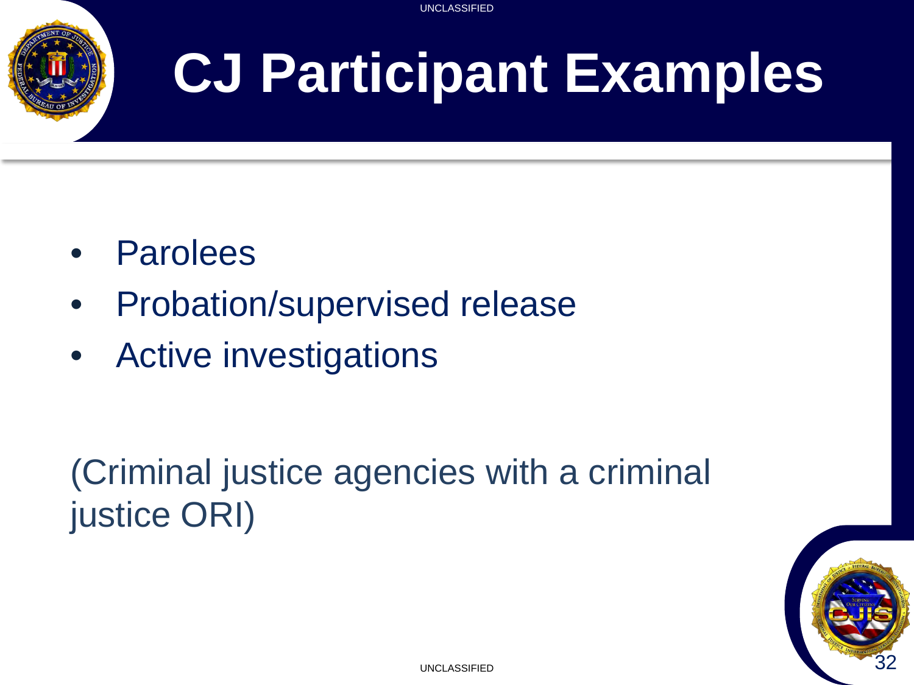

# **CJ Participant Examples**

- Parolees
- Probation/supervised release
- Active investigations

(Criminal justice agencies with a criminal justice ORI)

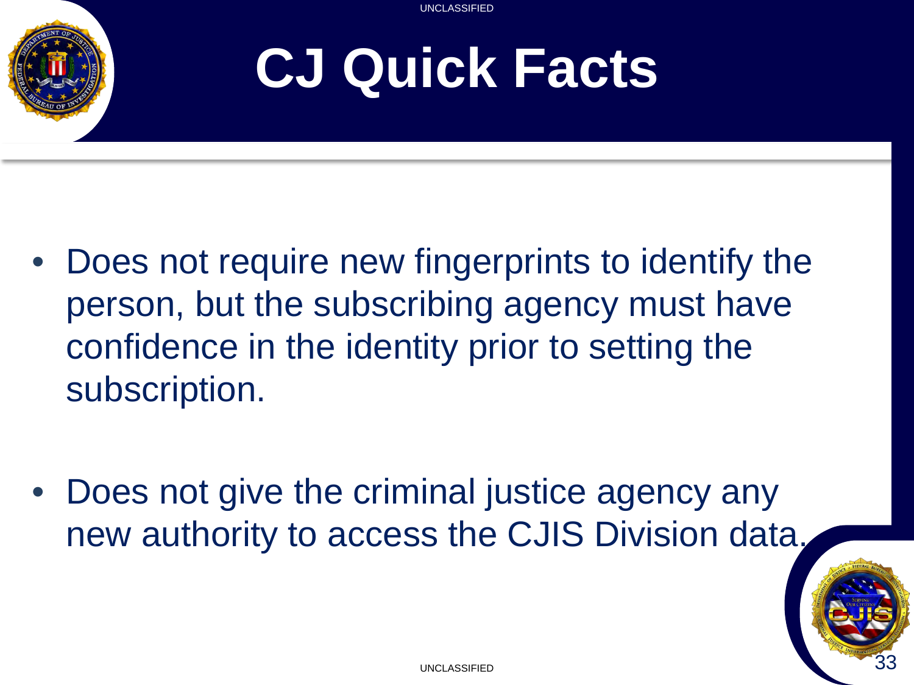

# **CJ Quick Facts**

- Does not require new fingerprints to identify the person, but the subscribing agency must have confidence in the identity prior to setting the subscription.
- Does not give the criminal justice agency any new authority to access the CJIS Division data.

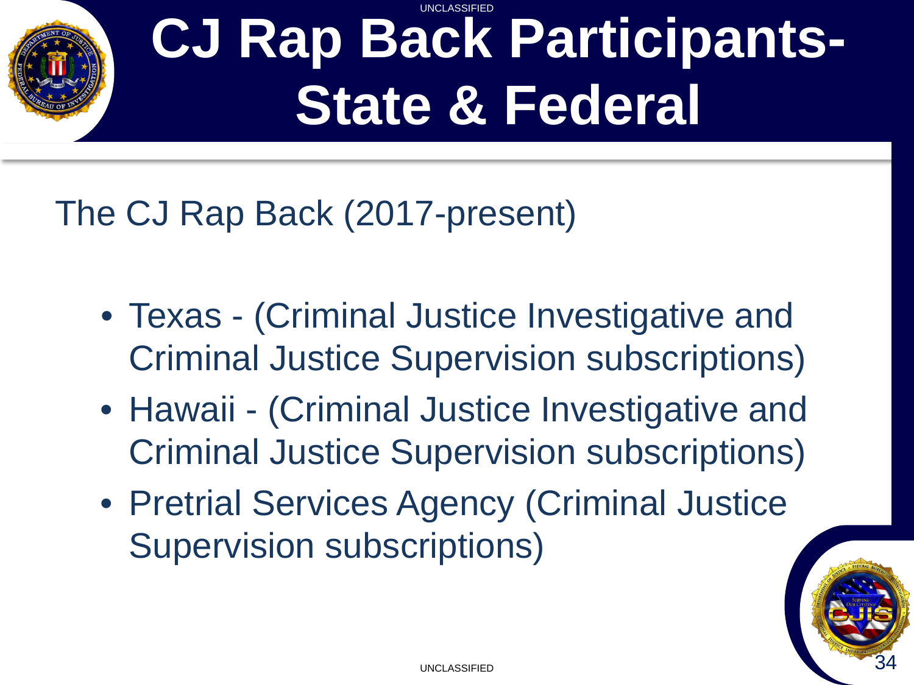#### UNCLASSIFIED **CJ Rap Back Participants-State & Federal**

The CJ Rap Back (2017-present)

- Texas (Criminal Justice Investigative and Criminal Justice Supervision subscriptions)
- Hawaii (Criminal Justice Investigative and Criminal Justice Supervision subscriptions)
- Pretrial Services Agency (Criminal Justice Supervision subscriptions)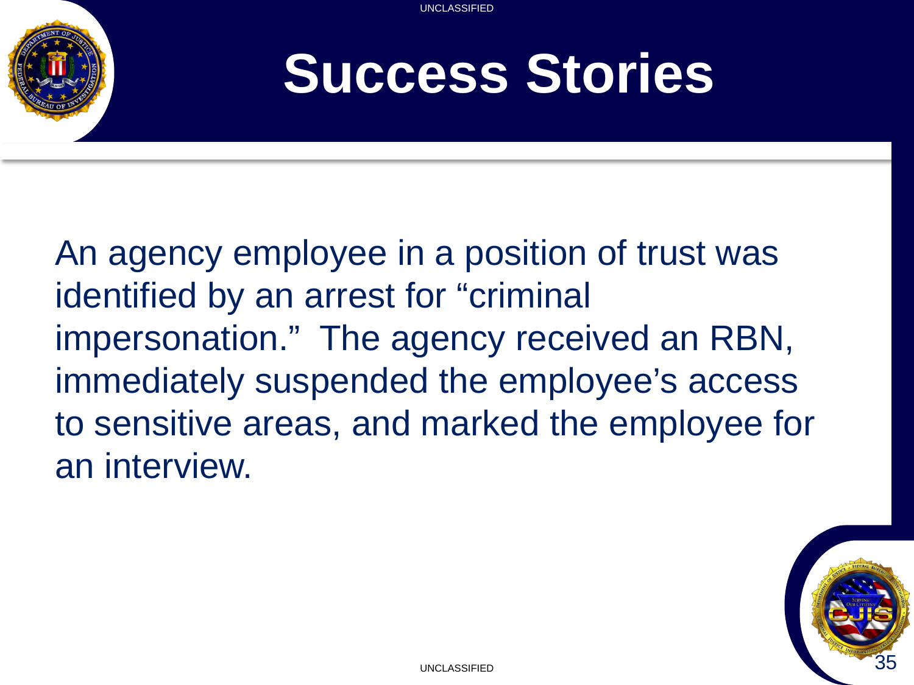

### **Success Stories**

An agency employee in a position of trust was identified by an arrest for "criminal impersonation." The agency received an RBN, immediately suspended the employee's access to sensitive areas, and marked the employee for an interview.

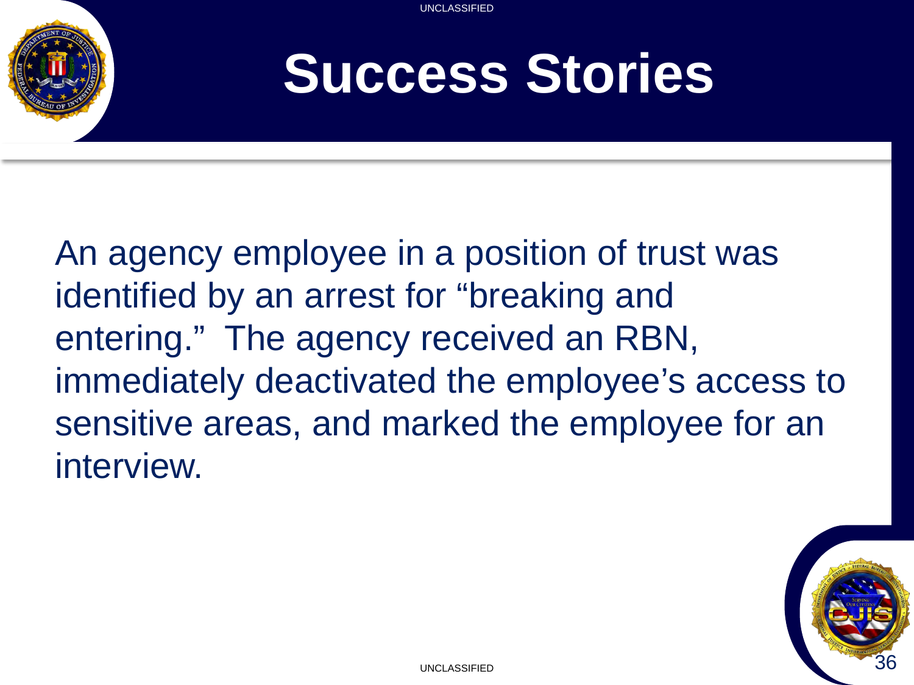

### **Success Stories**

An agency employee in a position of trust was identified by an arrest for "breaking and entering." The agency received an RBN, immediately deactivated the employee's access to sensitive areas, and marked the employee for an interview.

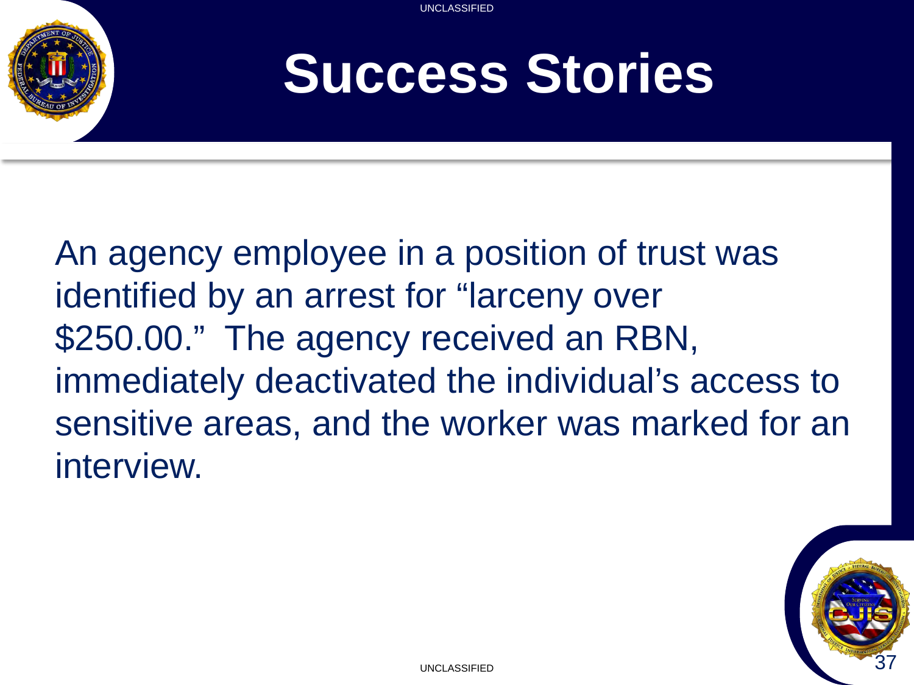

### **Success Stories**

An agency employee in a position of trust was identified by an arrest for "larceny over \$250.00." The agency received an RBN, immediately deactivated the individual's access to sensitive areas, and the worker was marked for an interview.

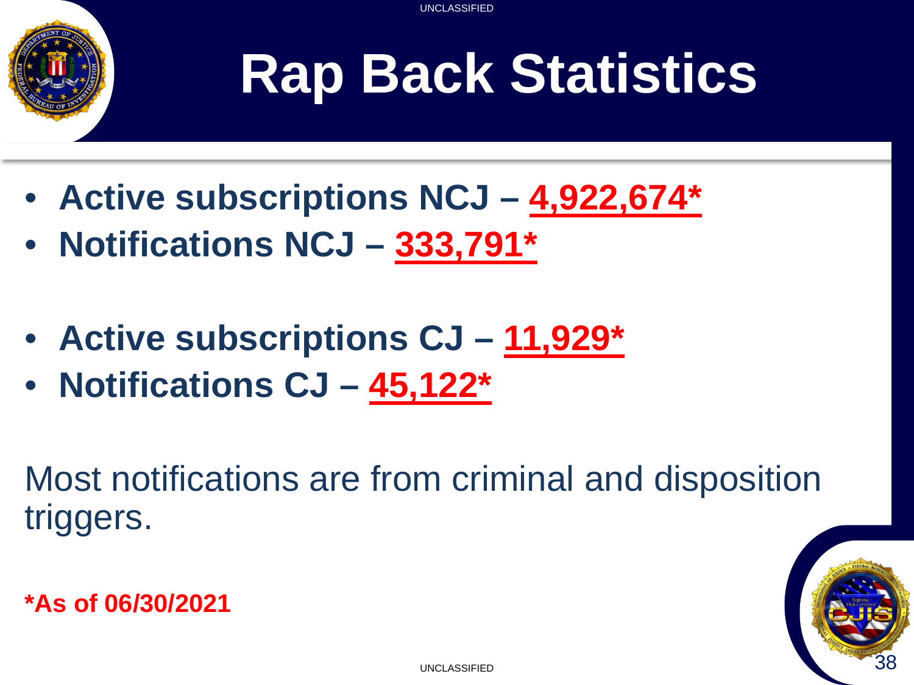

# **Rap Back Statistics**

- **Active subscriptions NCJ – 4,922,674\***
- **Notifications NCJ – 333,791\***
- **Active subscriptions CJ – 11,929\***
- **Notifications CJ – 45,122\***

Most notifications are from criminal and disposition triggers.

**\*As of 06/30/2021**